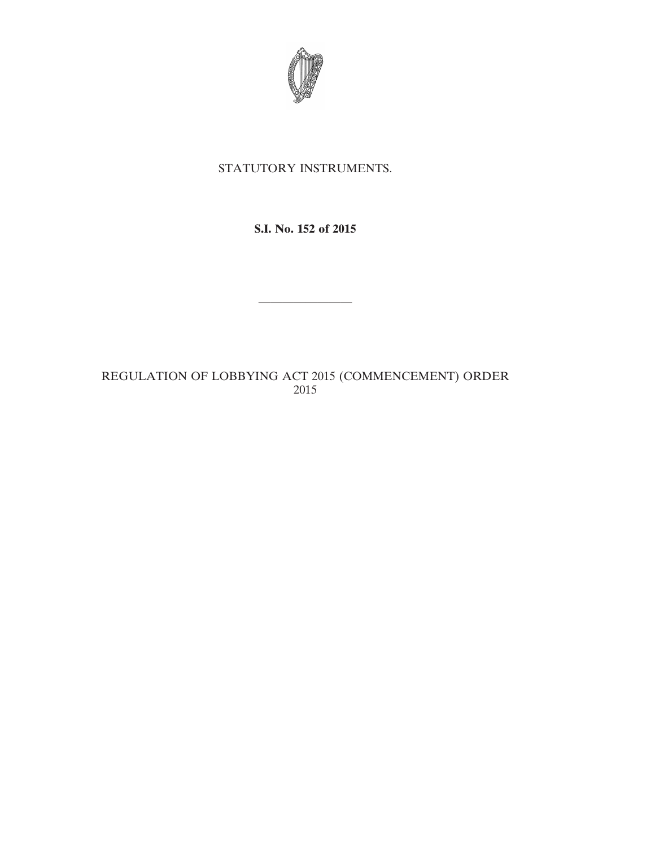

## STATUTORY INSTRUMENTS.

### **S.I. No. 152 of 2015**

————————

# REGULATION OF LOBBYING ACT 2015 (COMMENCEMENT) ORDER 2015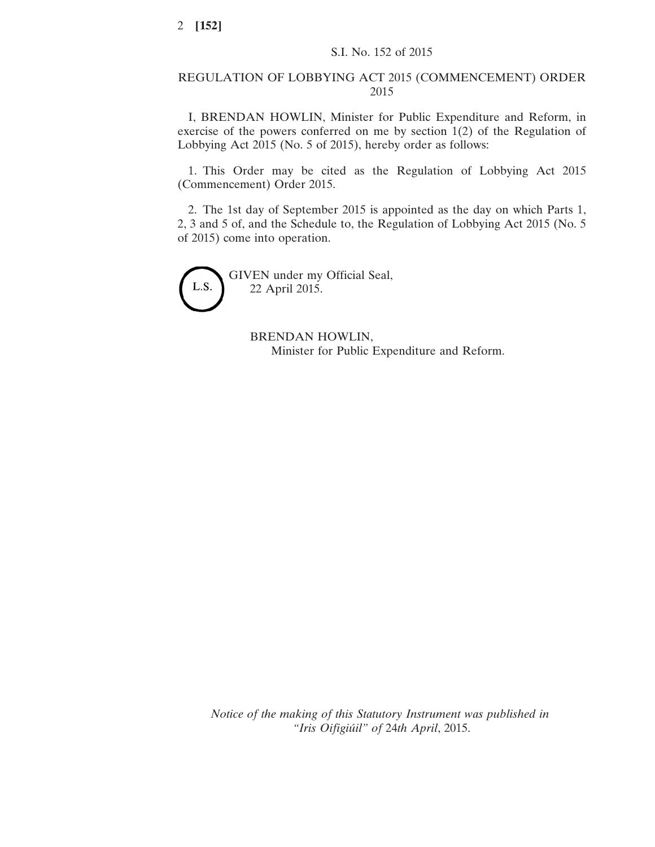### REGULATION OF LOBBYING ACT 2015 (COMMENCEMENT) ORDER 2015

I, BRENDAN HOWLIN, Minister for Public Expenditure and Reform, in exercise of the powers conferred on me by section 1(2) of the Regulation of Lobbying Act 2015 (No. 5 of 2015), hereby order as follows:

1. This Order may be cited as the Regulation of Lobbying Act 2015 (Commencement) Order 2015.

2. The 1st day of September 2015 is appointed as the day on which Parts 1, 2, 3 and 5 of, and the Schedule to, the Regulation of Lobbying Act 2015 (No. 5 of 2015) come into operation.

L.S.

GIVEN under my Official Seal, 22 April 2015.

> BRENDAN HOWLIN, Minister for Public Expenditure and Reform.

*Notice of the making of this Statutory Instrument was published in "Iris Oifigiúil" of* 24*th April*, 2015.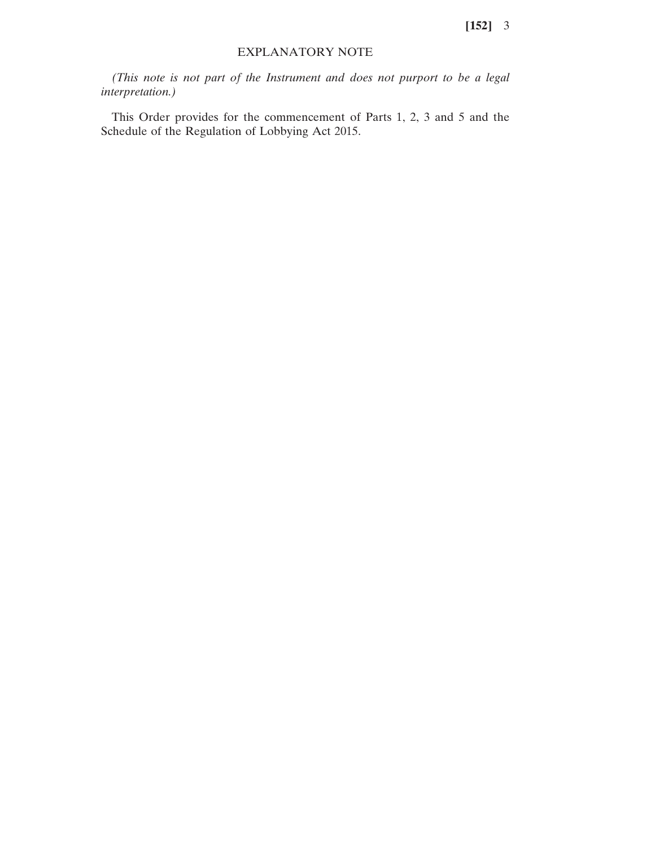**[152]** 3

### EXPLANATORY NOTE

*(This note is not part of the Instrument and does not purport to be a legal interpretation.)*

This Order provides for the commencement of Parts 1, 2, 3 and 5 and the Schedule of the Regulation of Lobbying Act 2015.